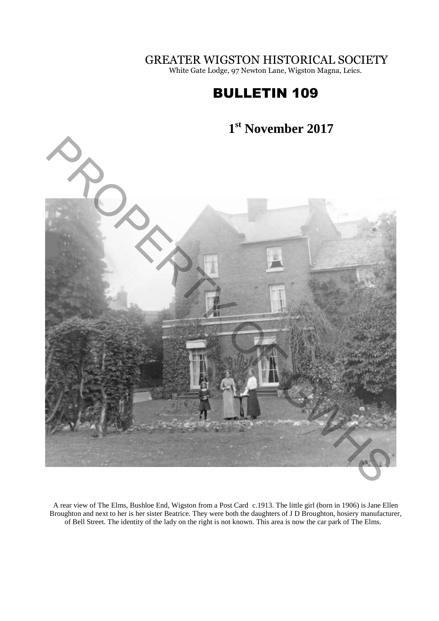GREATER WIGSTON HISTORICAL SOCIETY

White Gate Lodge, 97 Newton Lane, Wigston Magna, Leics.

# BULLETIN 109

#### **1 st November 2017**



A rear view of The Elms, Bushloe End, Wigston from a Post Card c.1913. The little girl (born in 1906) is Jane Ellen Broughton and next to her is her sister Beatrice. They were both the daughters of J D Broughton, hosiery manufacturer, of Bell Street. The identity of the lady on the right is not known. This area is now the car park of The Elms.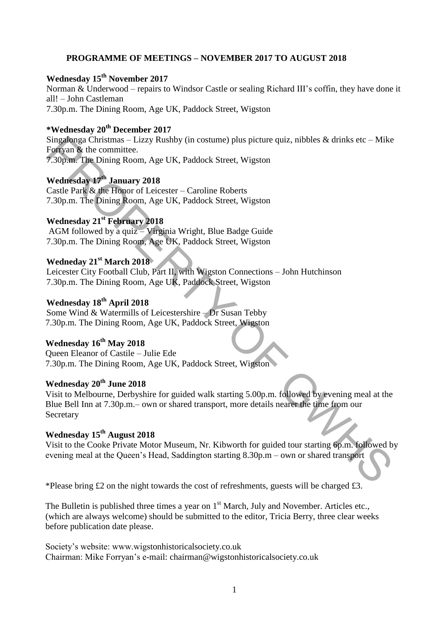#### **PROGRAMME OF MEETINGS – NOVEMBER 2017 TO AUGUST 2018**

## **Wednesday 15th November 2017**

Norman & Underwood – repairs to Windsor Castle or sealing Richard III's coffin, they have done it all! – John Castleman 7.30p.m. The Dining Room, Age UK, Paddock Street, Wigston

## **\*Wednesday 20th December 2017**

Singalonga Christmas – Lizzy Rushby (in costume) plus picture quiz, nibbles & drinks etc – Mike Forryan & the committee. 7.30p.m. The Dining Room, Age UK, Paddock Street, Wigston

**Wednesday 17th January 2018**  Castle Park & the Honor of Leicester – Caroline Roberts 7.30p.m. The Dining Room, Age UK, Paddock Street, Wigston

## **Wednesday 21st February 2018**

 AGM followed by a quiz – Virginia Wright, Blue Badge Guide 7.30p.m. The Dining Room, Age UK, Paddock Street, Wigston

#### **Wedneday 21st March 2018**

Leicester City Football Club, Part II, with Wigston Connections – John Hutchinson 7.30p.m. The Dining Room, Age UK, Paddock Street, Wigston

## **Wednesday 18th April 2018**

Some Wind & Watermills of Leicestershire – Dr Susan Tebby 7.30p.m. The Dining Room, Age UK, Paddock Street, Wigston

## **Wednesday 16th May 2018**

Queen Eleanor of Castile – Julie Ede 7.30p.m. The Dining Room, Age UK, Paddock Street, Wigston

## **Wednesday 20th June 2018**

Visit to Melbourne, Derbyshire for guided walk starting 5.00p.m. followed by evening meal at the Blue Bell Inn at 7.30p.m.– own or shared transport, more details nearer the time from our Secretary Singalega: Christmas – Lizzy Rushby (in costume) plus picture quiz, nibbles & drinks etc – Mike<br>
Fortyan & the committee.<br>
T-afform The Dining Room, Age UK, Paddock Street, Wigston<br>
Wednesday 17<sup>h</sup> January 2018<br>
Wednesday

## **Wednesday 15th August 2018**

Visit to the Cooke Private Motor Museum, Nr. Kibworth for guided tour starting 6p.m. followed by evening meal at the Queen's Head, Saddington starting 8.30p.m – own or shared transport

\*Please bring  $\pounds$  2 on the night towards the cost of refreshments, guests will be charged  $\pounds$ 3.

The Bulletin is published three times a year on 1<sup>st</sup> March, July and November. Articles etc., (which are always welcome) should be submitted to the editor, Tricia Berry, three clear weeks before publication date please.

Society's website: www.wigstonhistoricalsociety.co.uk Chairman: Mike Forryan's e-mail: chairman@wigstonhistoricalsociety.co.uk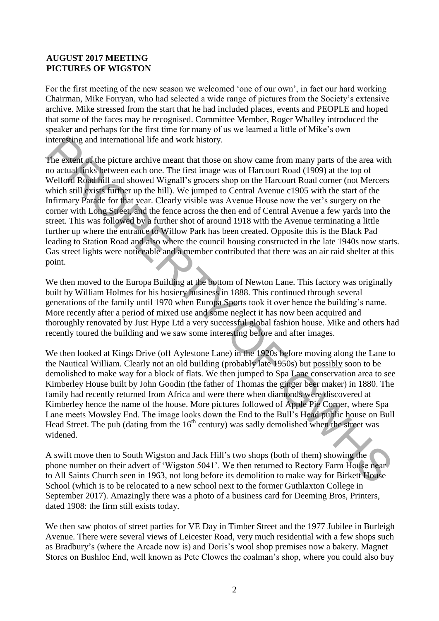#### **AUGUST 2017 MEETING PICTURES OF WIGSTON**

For the first meeting of the new season we welcomed 'one of our own', in fact our hard working Chairman, Mike Forryan, who had selected a wide range of pictures from the Society's extensive archive. Mike stressed from the start that he had included places, events and PEOPLE and hoped that some of the faces may be recognised. Committee Member, Roger Whalley introduced the speaker and perhaps for the first time for many of us we learned a little of Mike's own interesting and international life and work history.

The extent of the picture archive meant that those on show came from many parts of the area with no actual links between each one. The first image was of Harcourt Road (1909) at the top of Welford Road hill and showed Wignall's grocers shop on the Harcourt Road corner (not Mercers which still exists further up the hill). We jumped to Central Avenue c1905 with the start of the Infirmary Parade for that year. Clearly visible was Avenue House now the vet's surgery on the corner with Long Street, and the fence across the then end of Central Avenue a few yards into the street. This was followed by a further shot of around 1918 with the Avenue terminating a little further up where the entrance to Willow Park has been created. Opposite this is the Black Pad leading to Station Road and also where the council housing constructed in the late 1940s now starts. Gas street lights were noticeable and a member contributed that there was an air raid shelter at this point. interesting and international life and work history.<br>The costen of the picture archive meant that those on show came from many parts of the arce with<br>the costen of the picture archive meant that those on show came from man

We then moved to the Europa Building at the bottom of Newton Lane. This factory was originally built by William Holmes for his hosiery business in 1888. This continued through several generations of the family until 1970 when Europa Sports took it over hence the building's name. More recently after a period of mixed use and some neglect it has now been acquired and thoroughly renovated by Just Hype Ltd a very successful global fashion house. Mike and others had recently toured the building and we saw some interesting before and after images.

We then looked at Kings Drive (off Aylestone Lane) in the 1920s before moving along the Lane to the Nautical William. Clearly not an old building (probably late 1950s) but possibly soon to be demolished to make way for a block of flats. We then jumped to Spa Lane conservation area to see Kimberley House built by John Goodin (the father of Thomas the ginger beer maker) in 1880. The family had recently returned from Africa and were there when diamonds were discovered at Kimberley hence the name of the house. More pictures followed of Apple Pie Corner, where Spa Lane meets Mowsley End. The image looks down the End to the Bull's Head public house on Bull Head Street. The pub (dating from the  $16<sup>th</sup>$  century) was sadly demolished when the street was widened.

A swift move then to South Wigston and Jack Hill's two shops (both of them) showing the phone number on their advert of 'Wigston 5041'. We then returned to Rectory Farm House near to All Saints Church seen in 1963, not long before its demolition to make way for Birkett House School (which is to be relocated to a new school next to the former Guthlaxton College in September 2017). Amazingly there was a photo of a business card for Deeming Bros, Printers, dated 1908: the firm still exists today.

We then saw photos of street parties for VE Day in Timber Street and the 1977 Jubilee in Burleigh Avenue. There were several views of Leicester Road, very much residential with a few shops such as Bradbury's (where the Arcade now is) and Doris's wool shop premises now a bakery. Magnet Stores on Bushloe End, well known as Pete Clowes the coalman's shop, where you could also buy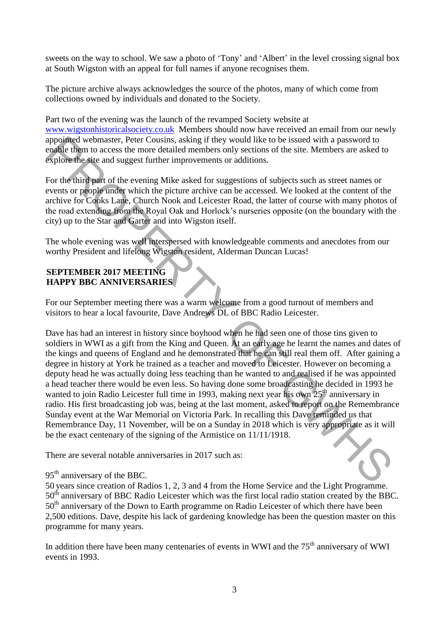sweets on the way to school. We saw a photo of 'Tony' and 'Albert' in the level crossing signal box at South Wigston with an appeal for full names if anyone recognises them.

The picture archive always acknowledges the source of the photos, many of which come from collections owned by individuals and donated to the Society.

Part two of the evening was the launch of the revamped Society website at [www.wigstonhistoricalsociety.co.uk](http://www.wigstonhistoricalsociety.co.uk/) Members should now have received an email from our newly appointed webmaster, Peter Cousins, asking if they would like to be issued with a password to enable them to access the more detailed members only sections of the site. Members are asked to explore the site and suggest further improvements or additions.

For the third part of the evening Mike asked for suggestions of subjects such as street names or events or people under which the picture archive can be accessed. We looked at the content of the archive for Cooks Lane, Church Nook and Leicester Road, the latter of course with many photos of the road extending from the Royal Oak and Horlock's nurseries opposite (on the boundary with the city) up to the Star and Garter and into Wigston itself.

The whole evening was well interspersed with knowledgeable comments and anecdotes from our worthy President and lifelong Wigston resident, Alderman Duncan Lucas!

## **SEPTEMBER 2017 MEETING HAPPY BBC ANNIVERSARIES**

For our September meeting there was a warm welcome from a good turnout of members and visitors to hear a local favourite, Dave Andrews DL of BBC Radio Leicester.

Dave has had an interest in history since boyhood when he had seen one of those tins given to soldiers in WWI as a gift from the King and Queen. At an early age he learnt the names and dates of the kings and queens of England and he demonstrated that he can still real them off. After gaining a degree in history at York he trained as a teacher and moved to Leicester. However on becoming a deputy head he was actually doing less teaching than he wanted to and realised if he was appointed a head teacher there would be even less. So having done some broadcasting he decided in 1993 he wanted to join Radio Leicester full time in 1993, making next year his own 25<sup>th</sup> anniversary in radio. His first broadcasting job was, being at the last moment, asked to report on the Remembrance Sunday event at the War Memorial on Victoria Park. In recalling this Dave reminded us that Remembrance Day, 11 November, will be on a Sunday in 2018 which is very appropriate as it will be the exact centenary of the signing of the Armistice on 11/11/1918. appointed webmaster. Peter Cousins, asking if they would like to be issued with a password to<br>
engale them to access the more detailed members only sections of he site. Members are asked to<br>
explore the site and suggest fu

There are several notable anniversaries in 2017 such as:

#### 95<sup>th</sup> anniversary of the BBC.

50 years since creation of Radios 1, 2, 3 and 4 from the Home Service and the Light Programme. 50<sup>th</sup> anniversary of BBC Radio Leicester which was the first local radio station created by the BBC. 50<sup>th</sup> anniversary of the Down to Earth programme on Radio Leicester of which there have been 2,500 editions. Dave, despite his lack of gardening knowledge has been the question master on this programme for many years.

In addition there have been many centenaries of events in WWI and the  $75<sup>th</sup>$  anniversary of WWI events in 1993.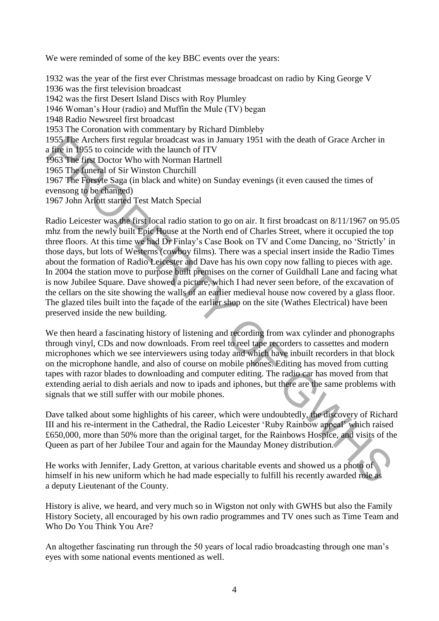We were reminded of some of the key BBC events over the years:

1932 was the year of the first ever Christmas message broadcast on radio by King George V 1936 was the first television broadcast 1942 was the first Desert Island Discs with Roy Plumley 1946 Woman's Hour (radio) and Muffin the Mule (TV) began 1948 Radio Newsreel first broadcast 1953 The Coronation with commentary by Richard Dimbleby 1955 The Archers first regular broadcast was in January 1951 with the death of Grace Archer in a fire in 1955 to coincide with the launch of ITV 1963 The first Doctor Who with Norman Hartnell 1965 The funeral of Sir Winston Churchill 1967 The Forsyte Saga (in black and white) on Sunday evenings (it even caused the times of evensong to be changed) 1967 John Arlott started Test Match Special

Radio Leicester was the first local radio station to go on air. It first broadcast on 8/11/1967 on 95.05 mhz from the newly built Epic House at the North end of Charles Street, where it occupied the top three floors. At this time we had Dr Finlay's Case Book on TV and Come Dancing, no 'Strictly' in those days, but lots of Westerns (cowboy films). There was a special insert inside the Radio Times about the formation of Radio Leicester and Dave has his own copy now falling to pieces with age. In 2004 the station move to purpose built premises on the corner of Guildhall Lane and facing what is now Jubilee Square. Dave showed a picture, which I had never seen before, of the excavation of the cellars on the site showing the walls of an earlier medieval house now covered by a glass floor. The glazed tiles built into the façade of the earlier shop on the site (Wathes Electrical) have been preserved inside the new building. 1955. The Archers frist regular broadcast was in January 1951 with the death of Grace Archer in a figure Archers frist regular broadcast was in January 1951 with the death of Grace Archer in 1963. The figure Doctor Who wit

We then heard a fascinating history of listening and recording from wax cylinder and phonographs through vinyl, CDs and now downloads. From reel to reel tape recorders to cassettes and modern microphones which we see interviewers using today and which have inbuilt recorders in that block on the microphone handle, and also of course on mobile phones. Editing has moved from cutting tapes with razor blades to downloading and computer editing. The radio car has moved from that extending aerial to dish aerials and now to ipads and iphones, but there are the same problems with signals that we still suffer with our mobile phones.

Dave talked about some highlights of his career, which were undoubtedly, the discovery of Richard III and his re-interment in the Cathedral, the Radio Leicester 'Ruby Rainbow appeal' which raised £650,000, more than 50% more than the original target, for the Rainbows Hospice, and visits of the Queen as part of her Jubilee Tour and again for the Maunday Money distribution.

He works with Jennifer, Lady Gretton, at various charitable events and showed us a photo of himself in his new uniform which he had made especially to fulfill his recently awarded role as a deputy Lieutenant of the County.

History is alive, we heard, and very much so in Wigston not only with GWHS but also the Family History Society, all encouraged by his own radio programmes and TV ones such as Time Team and Who Do You Think You Are?

An altogether fascinating run through the 50 years of local radio broadcasting through one man's eyes with some national events mentioned as well.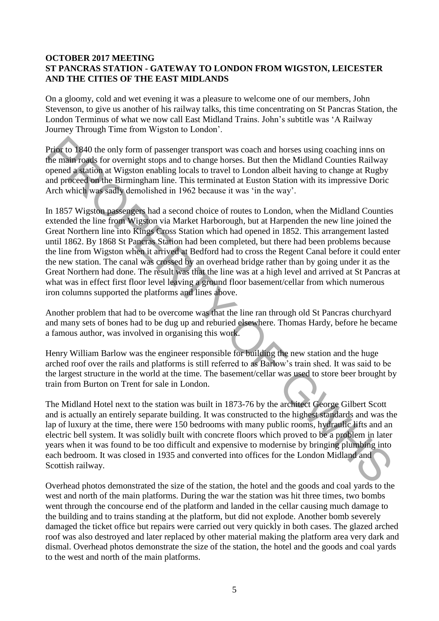#### **OCTOBER 2017 MEETING ST PANCRAS STATION - GATEWAY TO LONDON FROM WIGSTON, LEICESTER AND THE CITIES OF THE EAST MIDLANDS**

On a gloomy, cold and wet evening it was a pleasure to welcome one of our members, John Stevenson, to give us another of his railway talks, this time concentrating on St Pancras Station, the London Terminus of what we now call East Midland Trains. John's subtitle was 'A Railway Journey Through Time from Wigston to London'.

Prior to 1840 the only form of passenger transport was coach and horses using coaching inns on the main roads for overnight stops and to change horses. But then the Midland Counties Railway opened a station at Wigston enabling locals to travel to London albeit having to change at Rugby and proceed on the Birmingham line. This terminated at Euston Station with its impressive Doric Arch which was sadly demolished in 1962 because it was 'in the way'.

In 1857 Wigston passengers had a second choice of routes to London, when the Midland Counties extended the line from Wigston via Market Harborough, but at Harpenden the new line joined the Great Northern line into Kings Cross Station which had opened in 1852. This arrangement lasted until 1862. By 1868 St Pancras Station had been completed, but there had been problems because the line from Wigston when it arrived at Bedford had to cross the Regent Canal before it could enter the new station. The canal was crossed by an overhead bridge rather than by going under it as the Great Northern had done. The result was that the line was at a high level and arrived at St Pancras at what was in effect first floor level leaving a ground floor basement/cellar from which numerous iron columns supported the platforms and lines above. **Prior** to 1840 the only form of passenger transport was coach and horses using coaching inns on the main roadk for overnight stops and to change hores. But then the Midland Counties Railway between the Middan Counties Rai

Another problem that had to be overcome was that the line ran through old St Pancras churchyard and many sets of bones had to be dug up and reburied elsewhere. Thomas Hardy, before he became a famous author, was involved in organising this work.

Henry William Barlow was the engineer responsible for building the new station and the huge arched roof over the rails and platforms is still referred to as Barlow's train shed. It was said to be the largest structure in the world at the time. The basement/cellar was used to store beer brought by train from Burton on Trent for sale in London.

The Midland Hotel next to the station was built in 1873-76 by the architect George Gilbert Scott and is actually an entirely separate building. It was constructed to the highest standards and was the lap of luxury at the time, there were 150 bedrooms with many public rooms, hydraulic lifts and an electric bell system. It was solidly built with concrete floors which proved to be a problem in later years when it was found to be too difficult and expensive to modernise by bringing plumbing into each bedroom. It was closed in 1935 and converted into offices for the London Midland and Scottish railway.

Overhead photos demonstrated the size of the station, the hotel and the goods and coal yards to the west and north of the main platforms. During the war the station was hit three times, two bombs went through the concourse end of the platform and landed in the cellar causing much damage to the building and to trains standing at the platform, but did not explode. Another bomb severely damaged the ticket office but repairs were carried out very quickly in both cases. The glazed arched roof was also destroyed and later replaced by other material making the platform area very dark and dismal. Overhead photos demonstrate the size of the station, the hotel and the goods and coal yards to the west and north of the main platforms.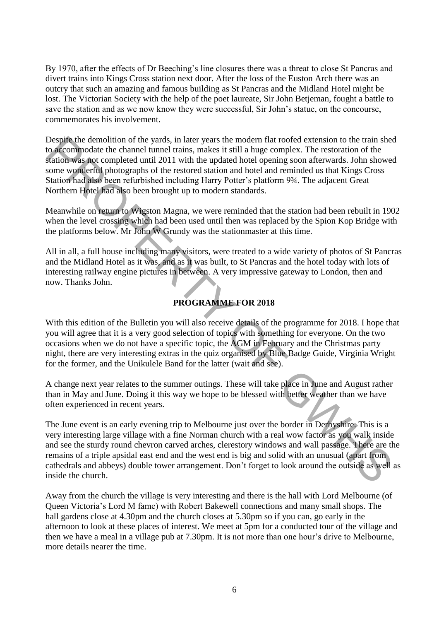By 1970, after the effects of Dr Beeching's line closures there was a threat to close St Pancras and divert trains into Kings Cross station next door. After the loss of the Euston Arch there was an outcry that such an amazing and famous building as St Pancras and the Midland Hotel might be lost. The Victorian Society with the help of the poet laureate, Sir John Betjeman, fought a battle to save the station and as we now know they were successful, Sir John's statue, on the concourse, commemorates his involvement.

Despite the demolition of the yards, in later years the modern flat roofed extension to the train shed to accommodate the channel tunnel trains, makes it still a huge complex. The restoration of the station was not completed until 2011 with the updated hotel opening soon afterwards. John showed some wonderful photographs of the restored station and hotel and reminded us that Kings Cross Station had also been refurbished including Harry Potter's platform 9¾. The adjacent Great Northern Hotel had also been brought up to modern standards.

Meanwhile on return to Wigston Magna, we were reminded that the station had been rebuilt in 1902 when the level crossing which had been used until then was replaced by the Spion Kop Bridge with the platforms below. Mr John W Grundy was the stationmaster at this time.

All in all, a full house including many visitors, were treated to a wide variety of photos of St Pancras and the Midland Hotel as it was, and as it was built, to St Pancras and the hotel today with lots of interesting railway engine pictures in between. A very impressive gateway to London, then and now. Thanks John.

## **PROGRAMME FOR 2018**

With this edition of the Bulletin you will also receive details of the programme for 2018. I hope that you will agree that it is a very good selection of topics with something for everyone. On the two occasions when we do not have a specific topic, the AGM in February and the Christmas party night, there are very interesting extras in the quiz organised by Blue Badge Guide, Virginia Wright for the former, and the Unikulele Band for the latter (wait and see).

A change next year relates to the summer outings. These will take place in June and August rather than in May and June. Doing it this way we hope to be blessed with better weather than we have often experienced in recent years.

The June event is an early evening trip to Melbourne just over the border in Derbyshire. This is a very interesting large village with a fine Norman church with a real wow factor as you walk inside and see the sturdy round chevron carved arches, clerestory windows and wall passage. There are the remains of a triple apsidal east end and the west end is big and solid with an unusual (apart from cathedrals and abbeys) double tower arrangement. Don't forget to look around the outside as well as inside the church. Despite the demolition of the yards. in later years the modern lat rooded extension to the train shocks that the sets through the demolition of the soletion wes, part employed until 2011 with the updated hotel operating so

Away from the church the village is very interesting and there is the hall with Lord Melbourne (of Queen Victoria's Lord M fame) with Robert Bakewell connections and many small shops. The hall gardens close at 4.30pm and the church closes at 5.30pm so if you can, go early in the afternoon to look at these places of interest. We meet at 5pm for a conducted tour of the village and then we have a meal in a village pub at 7.30pm. It is not more than one hour's drive to Melbourne, more details nearer the time.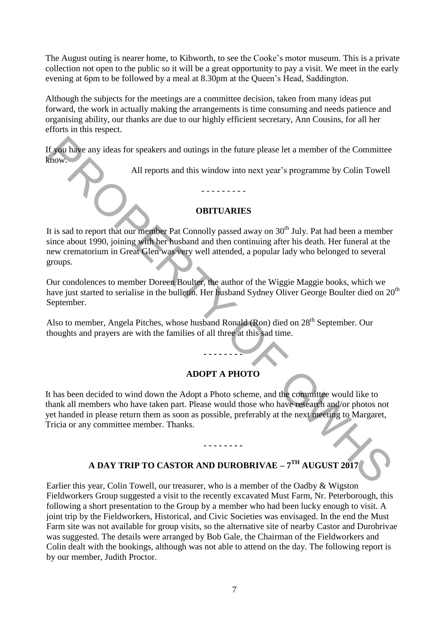The August outing is nearer home, to Kibworth, to see the Cooke's motor museum. This is a private collection not open to the public so it will be a great opportunity to pay a visit. We meet in the early evening at 6pm to be followed by a meal at 8.30pm at the Queen's Head, Saddington.

Although the subjects for the meetings are a committee decision, taken from many ideas put forward, the work in actually making the arrangements is time consuming and needs patience and organising ability, our thanks are due to our highly efficient secretary, Ann Cousins, for all her efforts in this respect.

If you have any ideas for speakers and outings in the future please let a member of the Committee know.

All reports and this window into next year's programme by Colin Towell

## **OBITUARIES**

- - - - - - - - -

It is sad to report that our member Pat Connolly passed away on  $30<sup>th</sup>$  July. Pat had been a member since about 1990, joining with her husband and then continuing after his death. Her funeral at the new crematorium in Great Glen was very well attended, a popular lady who belonged to several groups. If you have any ideas for speakers and outings in the future please let a member of the Committee<br>
Eurow.<br>
All reports and this window into next year's programme by Colin Towell<br>
1990. The same of the control of the contr

Our condolences to member Doreen Boulter, the author of the Wiggie Maggie books, which we have just started to serialise in the bulletin. Her husband Sydney Oliver George Boulter died on 20<sup>th</sup> September.

Also to member, Angela Pitches, whose husband Ronald (Ron) died on 28<sup>th</sup> September. Our thoughts and prayers are with the families of all three at this sad time.

## **ADOPT A PHOTO**

**- - - - - - - -** 

It has been decided to wind down the Adopt a Photo scheme, and the committee would like to thank all members who have taken part. Please would those who have research and/or photos not yet handed in please return them as soon as possible, preferably at the next meeting to Margaret, Tricia or any committee member. Thanks.

## **A DAY TRIP TO CASTOR AND DUROBRIVAE – 7 TH AUGUST 2017**

**- - - - - - - -** 

Earlier this year, Colin Towell, our treasurer, who is a member of the Oadby & Wigston Fieldworkers Group suggested a visit to the recently excavated Must Farm, Nr. Peterborough, this following a short presentation to the Group by a member who had been lucky enough to visit. A joint trip by the Fieldworkers, Historical, and Civic Societies was envisaged. In the end the Must Farm site was not available for group visits, so the alternative site of nearby Castor and Durobrivae was suggested. The details were arranged by Bob Gale, the Chairman of the Fieldworkers and Colin dealt with the bookings, although was not able to attend on the day. The following report is by our member, Judith Proctor.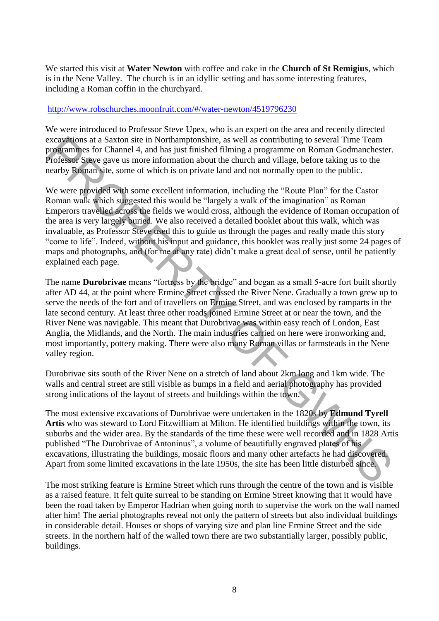We started this visit at **Water Newton** with coffee and cake in the **Church of St Remigius**, which is in the Nene Valley. The church is in an idyllic setting and has some interesting features, including a Roman coffin in the churchyard.

#### <http://www.robschurches.moonfruit.com/#/water-newton/4519796230>

We were introduced to Professor Steve Upex, who is an expert on the area and recently directed excavations at a Saxton site in Northamptonshire, as well as contributing to several Time Team programmes for Channel 4, and has just finished filming a programme on Roman Godmanchester. Professor Steve gave us more information about the church and village, before taking us to the nearby Roman site, some of which is on private land and not normally open to the public.

We were provided with some excellent information, including the "Route Plan" for the Castor Roman walk which suggested this would be "largely a walk of the imagination" as Roman Emperors travelled across the fields we would cross, although the evidence of Roman occupation of the area is very largely buried. We also received a detailed booklet about this walk, which was invaluable, as Professor Steve used this to guide us through the pages and really made this story "come to life". Indeed, without his input and guidance, this booklet was really just some 24 pages of maps and photographs, and (for me at any rate) didn't make a great deal of sense, until he patiently explained each page. exceptions at a Saxton site in Northemptonshire, as well as contributing to several Time Team<br>Transportances for Channel 4, and has just finished filming a programme on Roman Godmanchester.<br>Protessor Steve gave us more inf

The name **Durobrivae** means "fortress by the bridge" and began as a small 5-acre fort built shortly after AD 44, at the point where Ermine Street crossed the River Nene. Gradually a town grew up to serve the needs of the fort and of travellers on Ermine Street, and was enclosed by ramparts in the late second century. At least three other roads joined Ermine Street at or near the town, and the River Nene was navigable. This meant that Durobrivae was within easy reach of London, East Anglia, the Midlands, and the North. The main industries carried on here were ironworking and, most importantly, pottery making. There were also many Roman villas or farmsteads in the Nene valley region.

Durobrivae sits south of the River Nene on a stretch of land about 2km long and 1km wide. The walls and central street are still visible as bumps in a field and aerial photography has provided strong indications of the layout of streets and buildings within the town.

The most extensive excavations of Durobrivae were undertaken in the 1820s by **Edmund Tyrell Artis** who was steward to Lord Fitzwilliam at Milton. He identified buildings within the town, its suburbs and the wider area. By the standards of the time these were well recorded and in 1828 Artis published "The Durobrivae of Antoninus", a volume of beautifully engraved plates of his excavations, illustrating the buildings, mosaic floors and many other artefacts he had discovered. Apart from some limited excavations in the late 1950s, the site has been little disturbed since.

The most striking feature is Ermine Street which runs through the centre of the town and is visible as a raised feature. It felt quite surreal to be standing on Ermine Street knowing that it would have been the road taken by Emperor Hadrian when going north to supervise the work on the wall named after him! The aerial photographs reveal not only the pattern of streets but also individual buildings in considerable detail. Houses or shops of varying size and plan line Ermine Street and the side streets. In the northern half of the walled town there are two substantially larger, possibly public, buildings.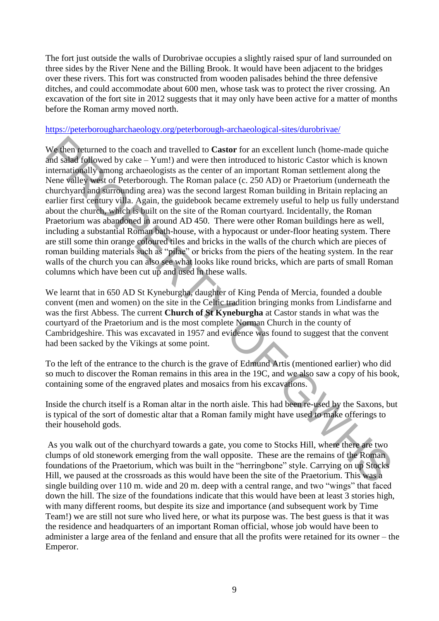The fort just outside the walls of Durobrivae occupies a slightly raised spur of land surrounded on three sides by the River Nene and the Billing Brook. It would have been adjacent to the bridges over these rivers. This fort was constructed from wooden palisades behind the three defensive ditches, and could accommodate about 600 men, whose task was to protect the river crossing. An excavation of the fort site in 2012 suggests that it may only have been active for a matter of months before the Roman army moved north.

#### <https://peterborougharchaeology.org/peterborough-archaeological-sites/durobrivae/>

We then returned to the coach and travelled to **Castor** for an excellent lunch (home-made quiche and salad followed by cake – Yum!) and were then introduced to historic Castor which is known internationally among archaeologists as the center of an important Roman settlement along the Nene valley west of Peterborough. The Roman palace (c. 250 AD) or Praetorium (underneath the churchyard and surrounding area) was the second largest Roman building in Britain replacing an earlier first century villa. Again, the guidebook became extremely useful to help us fully understand about the church, which is built on the site of the Roman courtyard. Incidentally, the Roman Praetorium was abandoned in around AD 450. There were other Roman buildings here as well, including a substantial Roman bath-house, with a hypocaust or under-floor heating system. There are still some thin orange coloured tiles and bricks in the walls of the church which are pieces of roman building materials such as "pilae" or bricks from the piers of the heating system. In the rear walls of the church you can also see what looks like round bricks, which are parts of small Roman columns which have been cut up and used in these walls. We then returned to the coach and travelled to **Castor** for an excellent lunch (home-made quiche<br>and stabe (oilyeved by cake – Yum)) and were then introduced to listoric Castor which is horown<br>internationally wanong archa

We learnt that in 650 AD St Kyneburgha, daughter of King Penda of Mercia, founded a double convent (men and women) on the site in the Celtic tradition bringing monks from Lindisfarne and was the first Abbess. The current **Church of St Kyneburgha** at Castor stands in what was the courtyard of the Praetorium and is the most complete Norman Church in the county of Cambridgeshire. This was excavated in 1957 and evidence was found to suggest that the convent had been sacked by the Vikings at some point.

To the left of the entrance to the church is the grave of Edmund Artis (mentioned earlier) who did so much to discover the Roman remains in this area in the 19C, and we also saw a copy of his book, containing some of the engraved plates and mosaics from his excavations.

Inside the church itself is a Roman altar in the north aisle. This had been re-used by the Saxons, but is typical of the sort of domestic altar that a Roman family might have used to make offerings to their household gods.

 As you walk out of the churchyard towards a gate, you come to Stocks Hill, where there are two clumps of old stonework emerging from the wall opposite. These are the remains of the Roman foundations of the Praetorium, which was built in the "herringbone" style. Carrying on up Stocks Hill, we paused at the crossroads as this would have been the site of the Praetorium. This was a single building over 110 m. wide and 20 m. deep with a central range, and two "wings" that faced down the hill. The size of the foundations indicate that this would have been at least 3 stories high, with many different rooms, but despite its size and importance (and subsequent work by Time Team!) we are still not sure who lived here, or what its purpose was. The best guess is that it was the residence and headquarters of an important Roman official, whose job would have been to administer a large area of the fenland and ensure that all the profits were retained for its owner – the Emperor.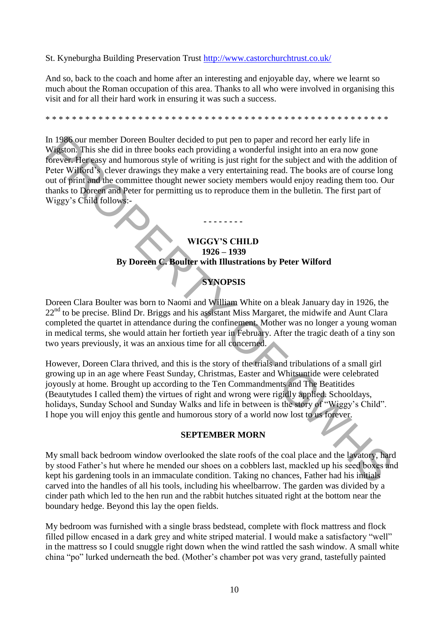St. Kyneburgha Building Preservation Trust<http://www.castorchurchtrust.co.uk/>

And so, back to the coach and home after an interesting and enjoyable day, where we learnt so much about the Roman occupation of this area. Thanks to all who were involved in organising this visit and for all their hard work in ensuring it was such a success.

\* \* \* \* \* \* \* \* \* \* \* \* \* \* \* \* \* \* \* \* \* \* \* \* \* \* \* \* \* \* \* \* \* \* \* \* \* \* \* \* \* \* \* \* \* \* \* \* \* \* \* \*

In 1986 our member Doreen Boulter decided to put pen to paper and record her early life in Wigston. This she did in three books each providing a wonderful insight into an era now gone forever. Her easy and humorous style of writing is just right for the subject and with the addition of Peter Wilford's clever drawings they make a very entertaining read. The books are of course long out of print and the committee thought newer society members would enjoy reading them too. Our thanks to Doreen and Peter for permitting us to reproduce them in the bulletin. The first part of Wiggy's Child follows:- In 1986 commenter Doreen Boulter decided to put pen to paper and records heat) in the spatial based on the paper and records the put pen to the subset of the subset of the subset of the subset of the subset of the subset o

## **WIGGY'S CHILD 1926 – 1939 By Doreen C. Boulter with Illustrations by Peter Wilford**

**- - - - - - - -** 

## **SYNOPSIS**

Doreen Clara Boulter was born to Naomi and William White on a bleak January day in 1926, the  $22<sup>nd</sup>$  to be precise. Blind Dr. Briggs and his assistant Miss Margaret, the midwife and Aunt Clara completed the quartet in attendance during the confinement. Mother was no longer a young woman in medical terms, she would attain her fortieth year in February. After the tragic death of a tiny son two years previously, it was an anxious time for all concerned.

However, Doreen Clara thrived, and this is the story of the trials and tribulations of a small girl growing up in an age where Feast Sunday, Christmas, Easter and Whitsuntide were celebrated joyously at home. Brought up according to the Ten Commandments and The Beatitides (Beautytudes I called them) the virtues of right and wrong were rigidly applied. Schooldays, holidays, Sunday School and Sunday Walks and life in between is the story of "Wiggy's Child". I hope you will enjoy this gentle and humorous story of a world now lost to us forever.

#### **SEPTEMBER MORN**

My small back bedroom window overlooked the slate roofs of the coal place and the lavatory, hard by stood Father's hut where he mended our shoes on a cobblers last, mackled up his seed boxes and kept his gardening tools in an immaculate condition. Taking no chances, Father had his initials carved into the handles of all his tools, including his wheelbarrow. The garden was divided by a cinder path which led to the hen run and the rabbit hutches situated right at the bottom near the boundary hedge. Beyond this lay the open fields.

My bedroom was furnished with a single brass bedstead, complete with flock mattress and flock filled pillow encased in a dark grey and white striped material. I would make a satisfactory "well" in the mattress so I could snuggle right down when the wind rattled the sash window. A small white china "po" lurked underneath the bed. (Mother's chamber pot was very grand, tastefully painted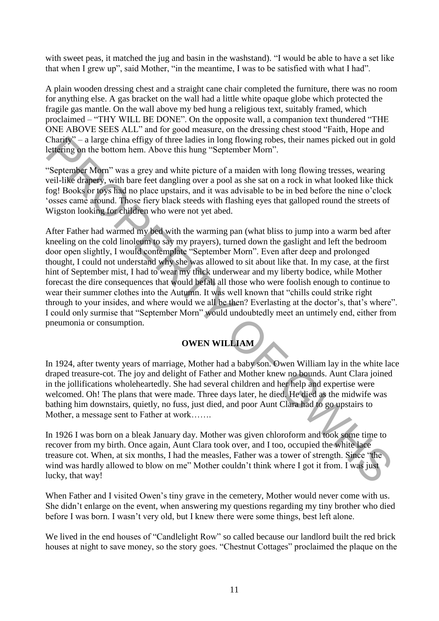with sweet peas, it matched the jug and basin in the washstand). "I would be able to have a set like that when I grew up", said Mother, "in the meantime, I was to be satisfied with what I had".

A plain wooden dressing chest and a straight cane chair completed the furniture, there was no room for anything else. A gas bracket on the wall had a little white opaque globe which protected the fragile gas mantle. On the wall above my bed hung a religious text, suitably framed, which proclaimed – "THY WILL BE DONE". On the opposite wall, a companion text thundered "THE ONE ABOVE SEES ALL" and for good measure, on the dressing chest stood "Faith, Hope and Charity" – a large china effigy of three ladies in long flowing robes, their names picked out in gold lettering on the bottom hem. Above this hung "September Morn".

"September Morn" was a grey and white picture of a maiden with long flowing tresses, wearing veil-like drapery, with bare feet dangling over a pool as she sat on a rock in what looked like thick fog! Books or toys had no place upstairs, and it was advisable to be in bed before the nine o'clock 'osses came around. Those fiery black steeds with flashing eyes that galloped round the streets of Wigston looking for children who were not yet abed.

After Father had warmed my bed with the warming pan (what bliss to jump into a warm bed after kneeling on the cold linoleum to say my prayers), turned down the gaslight and left the bedroom door open slightly, I would contemplate "September Morn". Even after deep and prolonged thought, I could not understand why she was allowed to sit about like that. In my case, at the first hint of September mist, I had to wear my thick underwear and my liberty bodice, while Mother forecast the dire consequences that would befall all those who were foolish enough to continue to wear their summer clothes into the Autumn. It was well known that "chills could strike right through to your insides, and where would we all be then? Everlasting at the doctor's, that's where". I could only surmise that "September Morn" would undoubtedly meet an untimely end, either from pneumonia or consumption. Charge  $^{\circ}$ - a large china effigy of three liedies in long flowing robes, their names picked out in gold<br>clystring on the bottom hern. Above this hung "Seytember Mom".<br>"September Mom" was a grey and white picture of a m

## **OWEN WILLIAM**

In 1924, after twenty years of marriage, Mother had a baby son. Owen William lay in the white lace draped treasure-cot. The joy and delight of Father and Mother knew no bounds. Aunt Clara joined in the jollifications wholeheartedly. She had several children and her help and expertise were welcomed. Oh! The plans that were made. Three days later, he died. He died as the midwife was bathing him downstairs, quietly, no fuss, just died, and poor Aunt Clara had to go upstairs to Mother, a message sent to Father at work…….

In 1926 I was born on a bleak January day. Mother was given chloroform and took some time to recover from my birth. Once again, Aunt Clara took over, and I too, occupied the white lace treasure cot. When, at six months, I had the measles, Father was a tower of strength. Since "the wind was hardly allowed to blow on me" Mother couldn't think where I got it from. I was just lucky, that way!

When Father and I visited Owen's tiny grave in the cemetery, Mother would never come with us. She didn't enlarge on the event, when answering my questions regarding my tiny brother who died before I was born. I wasn't very old, but I knew there were some things, best left alone.

We lived in the end houses of "Candlelight Row" so called because our landlord built the red brick houses at night to save money, so the story goes. "Chestnut Cottages" proclaimed the plaque on the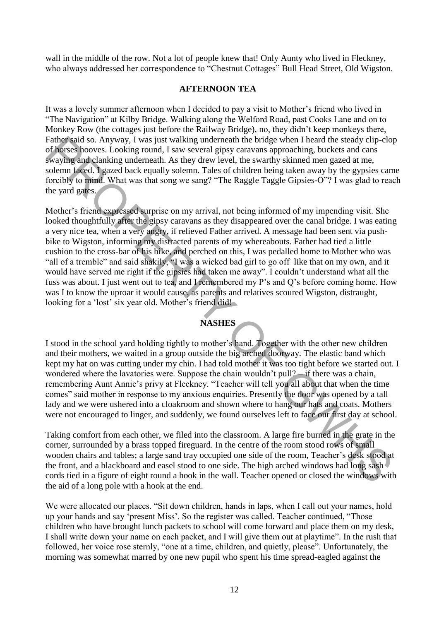wall in the middle of the row. Not a lot of people knew that! Only Aunty who lived in Fleckney, who always addressed her correspondence to "Chestnut Cottages" Bull Head Street, Old Wigston.

#### **AFTERNOON TEA**

It was a lovely summer afternoon when I decided to pay a visit to Mother's friend who lived in "The Navigation" at Kilby Bridge. Walking along the Welford Road, past Cooks Lane and on to Monkey Row (the cottages just before the Railway Bridge), no, they didn't keep monkeys there, Father said so. Anyway, I was just walking underneath the bridge when I heard the steady clip-clop of horses hooves. Looking round, I saw several gipsy caravans approaching, buckets and cans swaying and clanking underneath. As they drew level, the swarthy skinned men gazed at me, solemn faced. I gazed back equally solemn. Tales of children being taken away by the gypsies came forcibly to mind. What was that song we sang? "The Raggle Taggle Gipsies-O"? I was glad to reach the yard gates.

Mother's friend expressed surprise on my arrival, not being informed of my impending visit. She looked thoughtfully after the gipsy caravans as they disappeared over the canal bridge. I was eating a very nice tea, when a very angry, if relieved Father arrived. A message had been sent via pushbike to Wigston, informing my distracted parents of my whereabouts. Father had tied a little cushion to the cross-bar of his bike, and perched on this, I was pedalled home to Mother who was "all of a tremble" and said shakily, "I was a wicked bad girl to go off like that on my own, and it would have served me right if the gipsies had taken me away". I couldn't understand what all the fuss was about. I just went out to tea, and I remembered my P's and Q's before coming home. How was I to know the uproar it would cause, as parents and relatives scoured Wigston, distraught, looking for a 'lost' six year old. Mother's friend did! Fathey sail so. Anyway, I was issue walking underneata the bridge when I heat the steal ching shall so way may approaching buckets and canso configured and canso way may any challent with the stead of the swarthy shall so

## **NASHES**

I stood in the school yard holding tightly to mother's hand. Together with the other new children and their mothers, we waited in a group outside the big arched doorway. The elastic band which kept my hat on was cutting under my chin. I had told mother it was too tight before we started out. I wondered where the lavatories were. Suppose the chain wouldn't pull? – if there was a chain, remembering Aunt Annie's privy at Fleckney. "Teacher will tell you all about that when the time comes" said mother in response to my anxious enquiries. Presently the door was opened by a tall lady and we were ushered into a cloakroom and shown where to hang our hats and coats. Mothers were not encouraged to linger, and suddenly, we found ourselves left to face our first day at school.

Taking comfort from each other, we filed into the classroom. A large fire burned in the grate in the corner, surrounded by a brass topped fireguard. In the centre of the room stood rows of small wooden chairs and tables; a large sand tray occupied one side of the room, Teacher's desk stood at the front, and a blackboard and easel stood to one side. The high arched windows had long sash cords tied in a figure of eight round a hook in the wall. Teacher opened or closed the windows with the aid of a long pole with a hook at the end.

We were allocated our places. "Sit down children, hands in laps, when I call out your names, hold up your hands and say 'present Miss'. So the register was called. Teacher continued, "Those children who have brought lunch packets to school will come forward and place them on my desk, I shall write down your name on each packet, and I will give them out at playtime". In the rush that followed, her voice rose sternly, "one at a time, children, and quietly, please". Unfortunately, the morning was somewhat marred by one new pupil who spent his time spread-eagled against the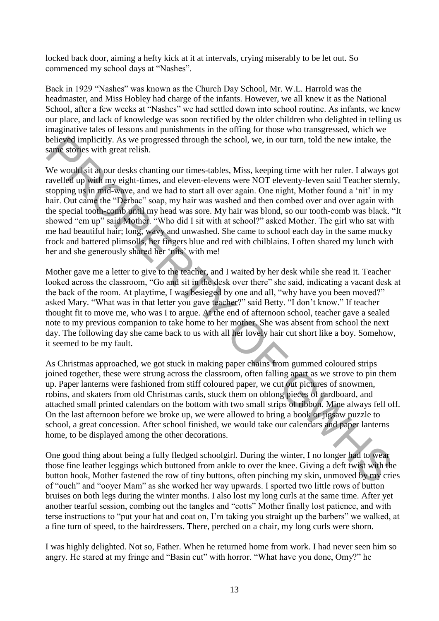locked back door, aiming a hefty kick at it at intervals, crying miserably to be let out. So commenced my school days at "Nashes".

Back in 1929 "Nashes" was known as the Church Day School, Mr. W.L. Harrold was the headmaster, and Miss Hobley had charge of the infants. However, we all knew it as the National School, after a few weeks at "Nashes" we had settled down into school routine. As infants, we knew our place, and lack of knowledge was soon rectified by the older children who delighted in telling us imaginative tales of lessons and punishments in the offing for those who transgressed, which we believed implicitly. As we progressed through the school, we, in our turn, told the new intake, the same stories with great relish.

We would sit at our desks chanting our times-tables, Miss, keeping time with her ruler. I always got ravelled up with my eight-times, and eleven-elevens were NOT eleventy-leven said Teacher sternly, stopping us in mid-wave, and we had to start all over again. One night, Mother found a 'nit' in my hair. Out came the "Derbac" soap, my hair was washed and then combed over and over again with the special tooth-comb until my head was sore. My hair was blond, so our tooth-comb was black. "It showed "em up" said Mother. "Who did I sit with at school?" asked Mother. The girl who sat with me had beautiful hair; long, wavy and unwashed. She came to school each day in the same mucky frock and battered plimsolls, her fingers blue and red with chilblains. I often shared my lunch with her and she generously shared her 'nits' with me! believed implicity. As we progressed through the school, we, in our turn, told the new intake, the sugar stocks white per times-turble. We would sit at our desks channing our times-tubles. Miss, keeping time with her ruler

Mother gave me a letter to give to the teacher, and I waited by her desk while she read it. Teacher looked across the classroom, "Go and sit in the desk over there" she said, indicating a vacant desk at the back of the room. At playtime, I was besieged by one and all, "why have you been moved?" asked Mary. "What was in that letter you gave teacher?" said Betty. "I don't know." If teacher thought fit to move me, who was I to argue. At the end of afternoon school, teacher gave a sealed note to my previous companion to take home to her mother. She was absent from school the next day. The following day she came back to us with all her lovely hair cut short like a boy. Somehow, it seemed to be my fault.

As Christmas approached, we got stuck in making paper chains from gummed coloured strips joined together, these were strung across the classroom, often falling apart as we strove to pin them up. Paper lanterns were fashioned from stiff coloured paper, we cut out pictures of snowmen, robins, and skaters from old Christmas cards, stuck them on oblong pieces of cardboard, and attached small printed calendars on the bottom with two small strips of ribbon. Mine always fell off. On the last afternoon before we broke up, we were allowed to bring a book or jigsaw puzzle to school, a great concession. After school finished, we would take our calendars and paper lanterns home, to be displayed among the other decorations.

One good thing about being a fully fledged schoolgirl. During the winter, I no longer had to wear those fine leather leggings which buttoned from ankle to over the knee. Giving a deft twist with the button hook, Mother fastened the row of tiny buttons, often pinching my skin, unmoved by my cries of "ouch" and "ooyer Mam" as she worked her way upwards. I sported two little rows of button bruises on both legs during the winter months. I also lost my long curls at the same time. After yet another tearful session, combing out the tangles and "cotts" Mother finally lost patience, and with terse instructions to "put your hat and coat on, I'm taking you straight up the barbers" we walked, at a fine turn of speed, to the hairdressers. There, perched on a chair, my long curls were shorn.

I was highly delighted. Not so, Father. When he returned home from work. I had never seen him so angry. He stared at my fringe and "Basin cut" with horror. "What have you done, Omy?" he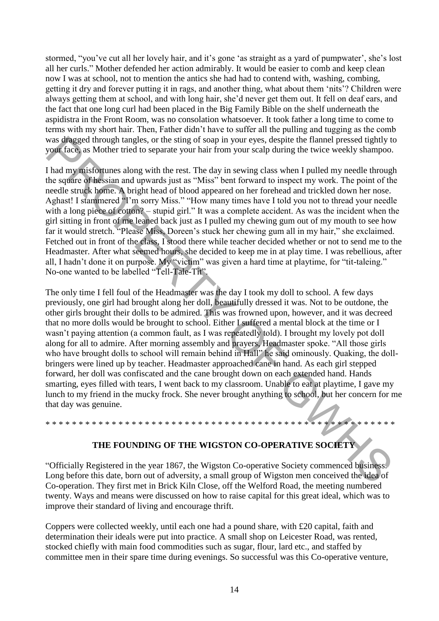stormed, "you've cut all her lovely hair, and it's gone 'as straight as a yard of pumpwater', she's lost all her curls." Mother defended her action admirably. It would be easier to comb and keep clean now I was at school, not to mention the antics she had had to contend with, washing, combing, getting it dry and forever putting it in rags, and another thing, what about them 'nits'? Children were always getting them at school, and with long hair, she'd never get them out. It fell on deaf ears, and the fact that one long curl had been placed in the Big Family Bible on the shelf underneath the aspidistra in the Front Room, was no consolation whatsoever. It took father a long time to come to terms with my short hair. Then, Father didn't have to suffer all the pulling and tugging as the comb was dragged through tangles, or the sting of soap in your eyes, despite the flannel pressed tightly to your face, as Mother tried to separate your hair from your scalp during the twice weekly shampoo.

I had my misfortunes along with the rest. The day in sewing class when I pulled my needle through the square of hessian and upwards just as "Miss" bent forward to inspect my work. The point of the needle struck home. A bright head of blood appeared on her forehead and trickled down her nose. Aghast! I stammered "I'm sorry Miss." "How many times have I told you not to thread your needle with a long piece of cotton? – stupid girl." It was a complete accident. As was the incident when the girl sitting in front of me leaned back just as I pulled my chewing gum out of my mouth to see how far it would stretch. "Please Miss, Doreen's stuck her chewing gum all in my hair," she exclaimed. Fetched out in front of the class, I stood there while teacher decided whether or not to send me to the Headmaster. After what seemed hours, she decided to keep me in at play time. I was rebellious, after all, I hadn't done it on purpose. My "victim" was given a hard time at playtime, for "tit-taleing." No-one wanted to be labelled "Tell-Tale-Tit".

The only time I fell foul of the Headmaster was the day I took my doll to school. A few days previously, one girl had brought along her doll, beautifully dressed it was. Not to be outdone, the other girls brought their dolls to be admired. This was frowned upon, however, and it was decreed that no more dolls would be brought to school. Either I suffered a mental block at the time or I wasn't paying attention (a common fault, as I was repeatedly told). I brought my lovely pot doll along for all to admire. After morning assembly and prayers, Headmaster spoke. "All those girls who have brought dolls to school will remain behind in Hall" he said ominously. Quaking, the dollbringers were lined up by teacher. Headmaster approached cane in hand. As each girl stepped forward, her doll was confiscated and the cane brought down on each extended hand. Hands smarting, eyes filled with tears, I went back to my classroom. Unable to eat at playtime, I gave my lunch to my friend in the mucky frock. She never brought anything to school, but her concern for me that day was genuine. was draged through tangels, or the sting of soap in your eyes, despite the flamel presed tightly the based monetary of the sting of soap in your scalp during the twice weekly shampoo.<br>In had my mislorumes along with the re

#### **THE FOUNDING OF THE WIGSTON CO-OPERATIVE SOCIETY**

\* \* \* \* \* \* \* \* \* \* \* \* \* \* \* \* \* \* \* \* \* \* \* \* \* \* \* \* \* \* \* \* \* \* \* \* \* \* \* \* \* \* \* \* \* \* \* \* \* \* \* \* \*

"Officially Registered in the year 1867, the Wigston Co-operative Society commenced business. Long before this date, born out of adversity, a small group of Wigston men conceived the idea of Co-operation. They first met in Brick Kiln Close, off the Welford Road, the meeting numbered twenty. Ways and means were discussed on how to raise capital for this great ideal, which was to improve their standard of living and encourage thrift.

Coppers were collected weekly, until each one had a pound share, with £20 capital, faith and determination their ideals were put into practice. A small shop on Leicester Road, was rented, stocked chiefly with main food commodities such as sugar, flour, lard etc., and staffed by committee men in their spare time during evenings. So successful was this Co-operative venture,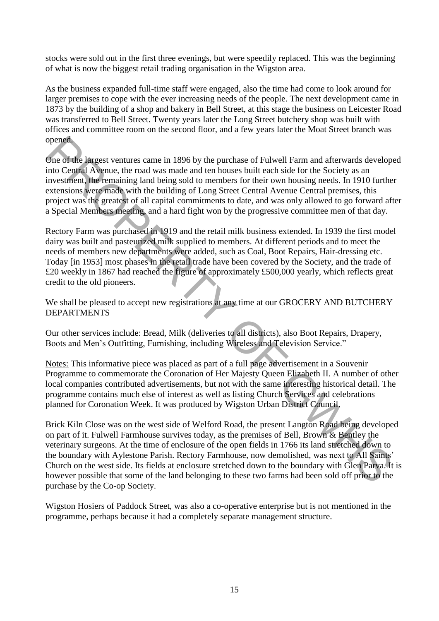stocks were sold out in the first three evenings, but were speedily replaced. This was the beginning of what is now the biggest retail trading organisation in the Wigston area.

As the business expanded full-time staff were engaged, also the time had come to look around for larger premises to cope with the ever increasing needs of the people. The next development came in 1873 by the building of a shop and bakery in Bell Street, at this stage the business on Leicester Road was transferred to Bell Street. Twenty years later the Long Street butchery shop was built with offices and committee room on the second floor, and a few years later the Moat Street branch was opened.

One of the largest ventures came in 1896 by the purchase of Fulwell Farm and afterwards developed into Central Avenue, the road was made and ten houses built each side for the Society as an investment, the remaining land being sold to members for their own housing needs. In 1910 further extensions were made with the building of Long Street Central Avenue Central premises, this project was the greatest of all capital commitments to date, and was only allowed to go forward after a Special Members meeting, and a hard fight won by the progressive committee men of that day.

Rectory Farm was purchased in 1919 and the retail milk business extended. In 1939 the first model dairy was built and pasteurized milk supplied to members. At different periods and to meet the needs of members new departments were added, such as Coal, Boot Repairs, Hair-dressing etc. Today [in 1953] most phases in the retail trade have been covered by the Society, and the trade of £20 weekly in 1867 had reached the figure of approximately £500,000 yearly, which reflects great credit to the old pioneers.

We shall be pleased to accept new registrations at any time at our GROCERY AND BUTCHERY DEPARTMENTS

Our other services include: Bread, Milk (deliveries to all districts), also Boot Repairs, Drapery, Boots and Men's Outfitting, Furnishing, including Wireless and Television Service."

Notes: This informative piece was placed as part of a full page advertisement in a Souvenir Programme to commemorate the Coronation of Her Majesty Queen Elizabeth II. A number of other local companies contributed advertisements, but not with the same interesting historical detail. The programme contains much else of interest as well as listing Church Services and celebrations planned for Coronation Week. It was produced by Wigston Urban District Council.

Brick Kiln Close was on the west side of Welford Road, the present Langton Road being developed on part of it. Fulwell Farmhouse survives today, as the premises of Bell, Brown & Bentley the veterinary surgeons. At the time of enclosure of the open fields in 1766 its land stretched down to the boundary with Aylestone Parish. Rectory Farmhouse, now demolished, was next to All Saints' Church on the west side. Its fields at enclosure stretched down to the boundary with Glen Parva. It is however possible that some of the land belonging to these two farms had been sold off prior to the purchase by the Co-op Society. opened<br>
on C the largest ventures came in 1896 by the purchase of Fulwell Farm and atterwards develope<br>
one of the largest ventures came in 1896 by the purchase of Fulwell Farm and atterwards develope<br>
into Central Avgnue,

Wigston Hosiers of Paddock Street, was also a co-operative enterprise but is not mentioned in the programme, perhaps because it had a completely separate management structure.